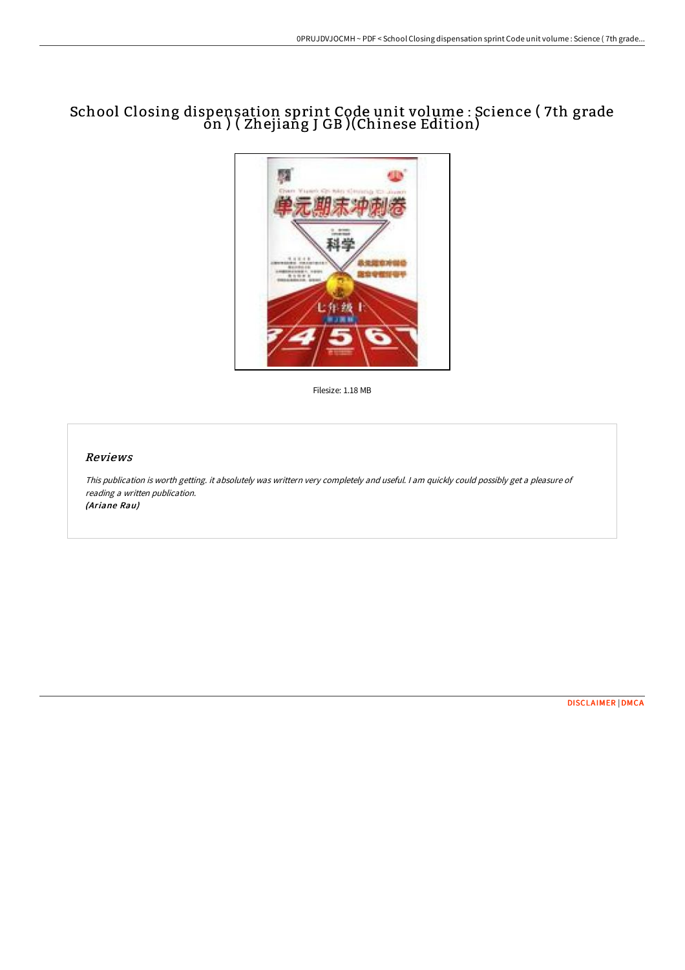# School Closing dispensation sprint Code unit volume : Science ( 7th grade on ) ( Zhejiang J GB )(Chinese Edition)



Filesize: 1.18 MB

### Reviews

This publication is worth getting. it absolutely was writtern very completely and useful. <sup>I</sup> am quickly could possibly get <sup>a</sup> pleasure of reading <sup>a</sup> written publication. (Ariane Rau)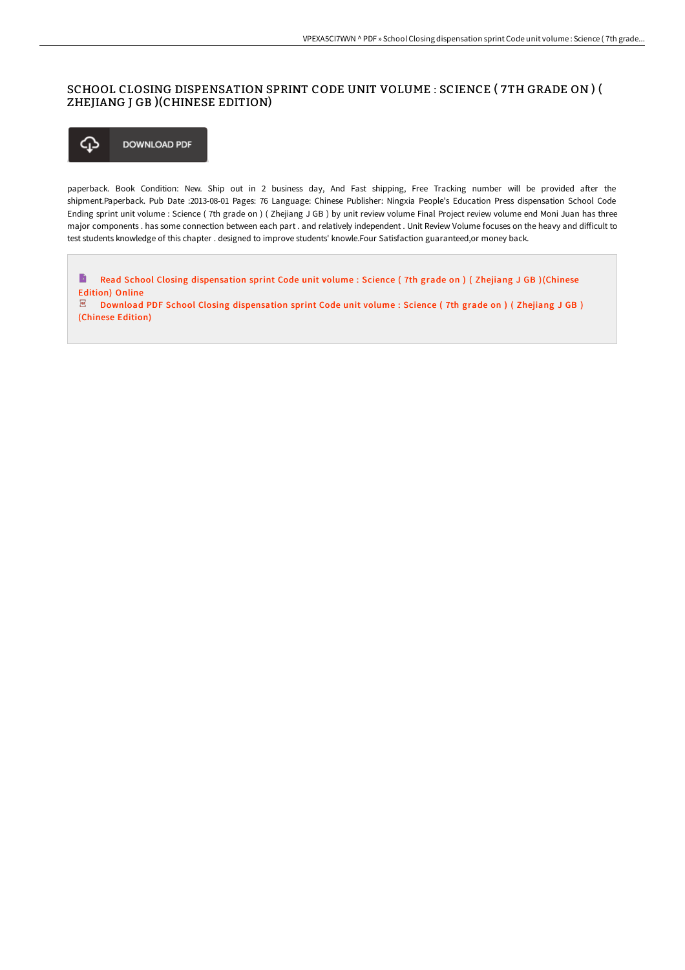## SCHOOL CLOSING DISPENSATION SPRINT CODE UNIT VOLUME : SCIENCE ( 7TH GRADE ON ) ( ZHEJIANG J GB )(CHINESE EDITION)

⊕ **DOWNLOAD PDF** 

paperback. Book Condition: New. Ship out in 2 business day, And Fast shipping, Free Tracking number will be provided after the shipment.Paperback. Pub Date :2013-08-01 Pages: 76 Language: Chinese Publisher: Ningxia People's Education Press dispensation School Code Ending sprint unit volume : Science ( 7th grade on ) ( Zhejiang J GB ) by unit review volume Final Project review volume end Moni Juan has three major components . has some connection between each part . and relatively independent . Unit Review Volume focuses on the heavy and difficult to test students knowledge of this chapter . designed to improve students' knowle.Four Satisfaction guaranteed,or money back.

B Read School Closing [dispensation](http://techno-pub.tech/school-closing-dispensation-sprint-code-unit-vol-1.html) sprint Code unit volume : Science ( 7th grade on ) ( Zhejiang J GB )(Chinese Edition) Online  $\overline{\mathbf{P}\mathbf{D}\mathbf{F}}$ Download PDF School Closing [dispensation](http://techno-pub.tech/school-closing-dispensation-sprint-code-unit-vol-1.html) sprint Code unit volume : Science ( 7th grade on ) ( Zhejiang J GB ) (Chinese Edition)